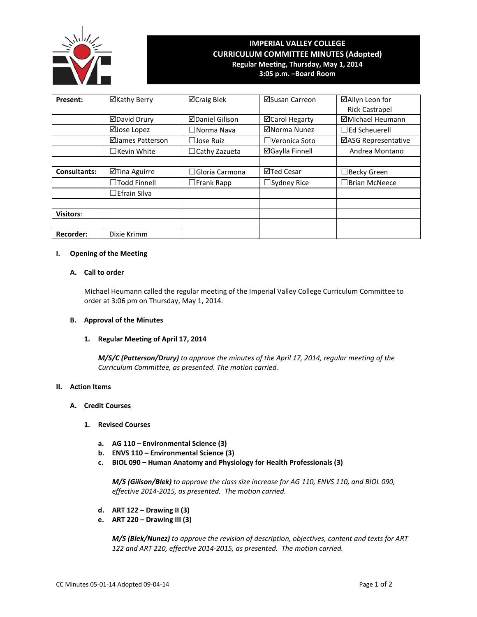

# **IMPERIAL VALLEY COLLEGE CURRICULUM COMMITTEE MINUTES (Adopted) Regular Meeting, Thursday, May 1, 2014 3:05 p.m. –Board Room**

| Present:            | ⊠Kathy Berry        | <b>⊠Craig Blek</b>    | ⊠Susan Carreon         | ⊠Allyn Leon for       |
|---------------------|---------------------|-----------------------|------------------------|-----------------------|
|                     |                     |                       |                        | <b>Rick Castrapel</b> |
|                     | ⊠David Drury        | ⊠Daniel Gilison       | ⊠Carol Hegarty         | ⊠Michael Heumann      |
|                     | ⊠Jose Lopez         | $\square$ Norma Nava  | ⊠Norma Nunez           | $\Box$ Ed Scheuerell  |
|                     | ⊠James Patterson    | $\Box$ Jose Ruiz      | $\Box$ Veronica Soto   | ⊠ASG Representative   |
|                     | $\Box$ Kevin White  | $\Box$ Cathy Zazueta  | <b>⊠Gaylla Finnell</b> | Andrea Montano        |
|                     |                     |                       |                        |                       |
| <b>Consultants:</b> | ⊠Tina Aguirre       | $\Box$ Gloria Carmona | ⊠Ted Cesar             | □ Becky Green         |
|                     | □Todd Finnell       | $\Box$ Frank Rapp     | $\Box$ Sydney Rice     | $\Box$ Brian McNeece  |
|                     | $\Box$ Efrain Silva |                       |                        |                       |
|                     |                     |                       |                        |                       |
| <b>Visitors:</b>    |                     |                       |                        |                       |
|                     |                     |                       |                        |                       |
| <b>Recorder:</b>    | Dixie Krimm         |                       |                        |                       |

# **I. Opening of the Meeting**

#### **A. Call to order**

Michael Heumann called the regular meeting of the Imperial Valley College Curriculum Committee to order at 3:06 pm on Thursday, May 1, 2014.

#### **B. Approval of the Minutes**

# **1. Regular Meeting of April 17, 2014**

*M/S/C (Patterson/Drury) to approve the minutes of the April 17, 2014, regular meeting of the Curriculum Committee, as presented. The motion carried.*

#### **II. Action Items**

# **A. Credit Courses**

#### **1. Revised Courses**

- **a. AG 110 – Environmental Science (3)**
- **b. ENVS 110 – Environmental Science (3)**
- **c. BIOL 090 – Human Anatomy and Physiology for Health Professionals (3)**

*M/S (Gilison/Blek) to approve the class size increase for AG 110, ENVS 110, and BIOL 090, effective 2014-2015, as presented. The motion carried.*

- **d. ART 122 – Drawing II (3)**
- **e. ART 220 – Drawing III (3)**

*M/S (Blek/Nunez) to approve the revision of description, objectives, content and texts for ART 122 and ART 220, effective 2014-2015, as presented. The motion carried.*